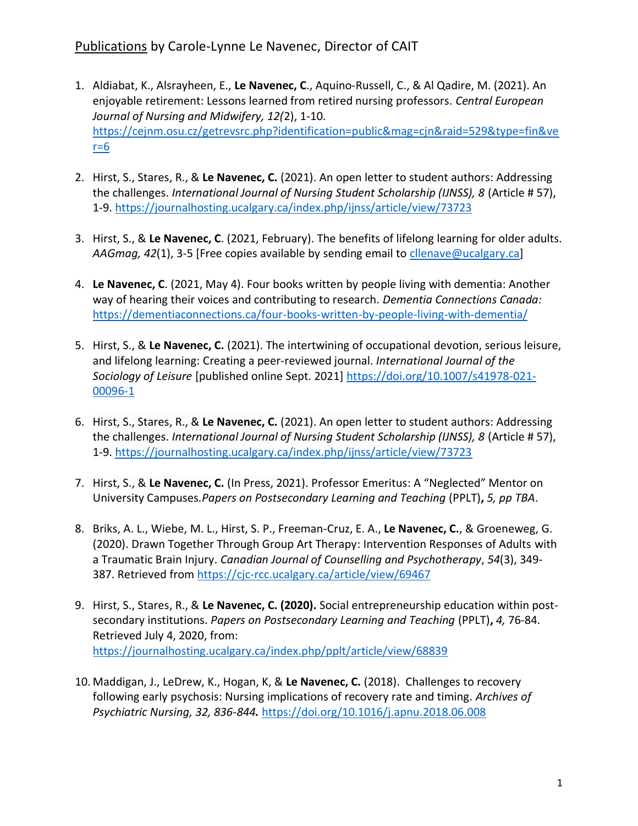- 1. Aldiabat, K., Alsrayheen, E., **Le Navenec, C**., Aquino-Russell, C., & Al Qadire, M. (2021). An enjoyable retirement: Lessons learned from retired nursing professors. *Central European Journal of Nursing and Midwifery, 12(*2), 1-10. [https://cejnm.osu.cz/getrevsrc.php?identification=public&mag=cjn&raid=529&type=fin&ve](https://cejnm.osu.cz/getrevsrc.php?identification=public&mag=cjn&raid=529&type=fin&ver=6)  $r=6$
- 2. Hirst, S., Stares, R., & **Le Navenec, C.** (2021). An open letter to student authors: Addressing the challenges. *International Journal of Nursing Student Scholarship (IJNSS), 8* (Article # 57), 1-9.<https://journalhosting.ucalgary.ca/index.php/ijnss/article/view/73723>
- 3. Hirst, S., & **Le Navenec, C**. (2021, February). The benefits of lifelong learning for older adults. *AAGmag, 42*(1), 3-5 [Free copies available by sending email to [cllenave@ucalgary.ca\]](mailto:cllenave@ucalgary.ca)
- 4. **Le Navenec, C**. (2021, May 4). Four books written by people living with dementia: Another way of hearing their voices and contributing to research. *Dementia Connections Canada:* <https://dementiaconnections.ca/four-books-written-by-people-living-with-dementia/>
- 5. Hirst, S., & **Le Navenec, C.** (2021). The intertwining of occupational devotion, serious leisure, and lifelong learning: Creating a peer-reviewed journal. *International Journal of the Sociology of Leisure* [published online Sept. 2021] [https://doi.org/10.1007/s41978-021-](https://doi.org/10.1007/s41978-021-00096-1) [00096-1](https://doi.org/10.1007/s41978-021-00096-1)
- 6. Hirst, S., Stares, R., & **Le Navenec, C.** (2021). An open letter to student authors: Addressing the challenges. *International Journal of Nursing Student Scholarship (IJNSS), 8* (Article # 57), 1-9.<https://journalhosting.ucalgary.ca/index.php/ijnss/article/view/73723>
- 7. Hirst, S., & **Le Navenec, C.** (In Press, 2021). Professor Emeritus: A "Neglected" Mentor on University Campuses*.Papers on Postsecondary Learning and Teaching* (PPLT)**,** *5, pp TBA*.
- 8. Briks, A. L., Wiebe, M. L., Hirst, S. P., Freeman-Cruz, E. A., **Le Navenec, C.**, & Groeneweg, G. (2020). Drawn Together Through Group Art Therapy: Intervention Responses of Adults with a Traumatic Brain Injury. *Canadian Journal of Counselling and Psychotherapy*, *54*(3), 349- 387. Retrieved from<https://cjc-rcc.ucalgary.ca/article/view/69467>
- 9. Hirst, S., Stares, R., & **Le Navenec, C. (2020).** Social entrepreneurship education within postsecondary institutions. *Papers on Postsecondary Learning and Teaching* (PPLT)**,** *4,* 76-84. Retrieved July 4, 2020, from: <https://journalhosting.ucalgary.ca/index.php/pplt/article/view/68839>
- 10. Maddigan, J., LeDrew, K., Hogan, K, & **Le Navenec, C.** (2018). Challenges to recovery following early psychosis: Nursing implications of recovery rate and timing. *Archives of Psychiatric Nursing, 32, 836-844.* <https://doi.org/10.1016/j.apnu.2018.06.008>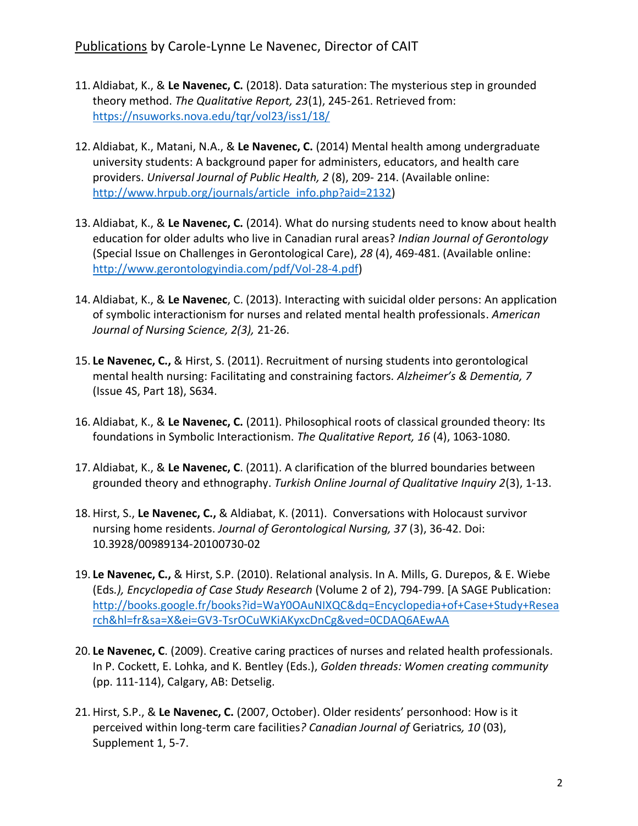- 11. Aldiabat, K., & **Le Navenec, C.** (2018). Data saturation: The mysterious step in grounded theory method. *The Qualitative Report, 23*(1), 245-261. Retrieved from: <https://nsuworks.nova.edu/tqr/vol23/iss1/18/>
- 12. Aldiabat, K., Matani, N.A., & **Le Navenec, C.** (2014) Mental health among undergraduate university students: A background paper for administers, educators, and health care providers. *Universal Journal of Public Health, 2* (8), 209- 214. (Available online: [http://www.hrpub.org/journals/article\\_info.php?aid=2132\)](http://www.hrpub.org/journals/article_info.php?aid=2132)
- 13. Aldiabat, K., & **Le Navenec, C.** (2014). What do nursing students need to know about health education for older adults who live in Canadian rural areas? *Indian Journal of Gerontology* (Special Issue on Challenges in Gerontological Care), *28* (4), 469-481. (Available online: [http://www.gerontologyindia.com/pdf/Vol-28-4.pdf\)](http://www.gerontologyindia.com/pdf/Vol-28-4.pdf)
- 14. Aldiabat, K., & **Le Navenec**, C. (2013). Interacting with suicidal older persons: An application of symbolic interactionism for nurses and related mental health professionals. *American Journal of Nursing Science, 2(3),* 21-26.
- 15. **Le Navenec, C.,** & Hirst, S. (2011). Recruitment of nursing students into gerontological mental health nursing: Facilitating and constraining factors*. Alzheimer's & Dementia, 7*  (Issue 4S, Part 18), S634.
- 16. Aldiabat, K., & **Le Navenec, C.** (2011). Philosophical roots of classical grounded theory: Its foundations in Symbolic Interactionism. *The Qualitative Report, 16* (4), 1063-1080.
- 17. Aldiabat, K., & **Le Navenec, C**. (2011). A clarification of the blurred boundaries between grounded theory and ethnography. *Turkish Online Journal of Qualitative Inquiry 2*(3), 1-13.
- 18. Hirst, S., **Le Navenec, C.,** & Aldiabat, K. (2011). Conversations with Holocaust survivor nursing home residents. *Journal of Gerontological Nursing, 37* (3), 36-42. Doi: 10.3928/00989134-20100730-02
- 19. **Le Navenec, C.,** & Hirst, S.P. (2010). Relational analysis. In A. Mills, G. Durepos, & E. Wiebe (Eds*.), Encyclopedia of Case Study Research* (Volume 2 of 2), 794-799. [A SAGE Publication: [http://books.google.fr/books?id=WaY0OAuNIXQC&dq=Encyclopedia+of+Case+Study+Resea](http://books.google.fr/books?id=WaY0OAuNIXQC&dq=Encyclopedia+of+Case+Study+Research&hl=fr&sa=X&ei=GV3-TsrOCuWKiAKyxcDnCg&ved=0CDAQ6AEwAA) [rch&hl=fr&sa=X&ei=GV3-TsrOCuWKiAKyxcDnCg&ved=0CDAQ6AEwAA](http://books.google.fr/books?id=WaY0OAuNIXQC&dq=Encyclopedia+of+Case+Study+Research&hl=fr&sa=X&ei=GV3-TsrOCuWKiAKyxcDnCg&ved=0CDAQ6AEwAA)
- 20. **Le Navenec, C**. (2009). Creative caring practices of nurses and related health professionals*.* In P. Cockett, E. Lohka, and K. Bentley (Eds.), *Golden threads: Women creating community*  (pp. 111-114), Calgary, AB: Detselig.
- 21. Hirst, S.P., & **Le Navenec, C.** (2007, October). Older residents' personhood: How is it perceived within long-term care facilities*? Canadian Journal of* Geriatrics*, 10* (03), Supplement 1, 5-7.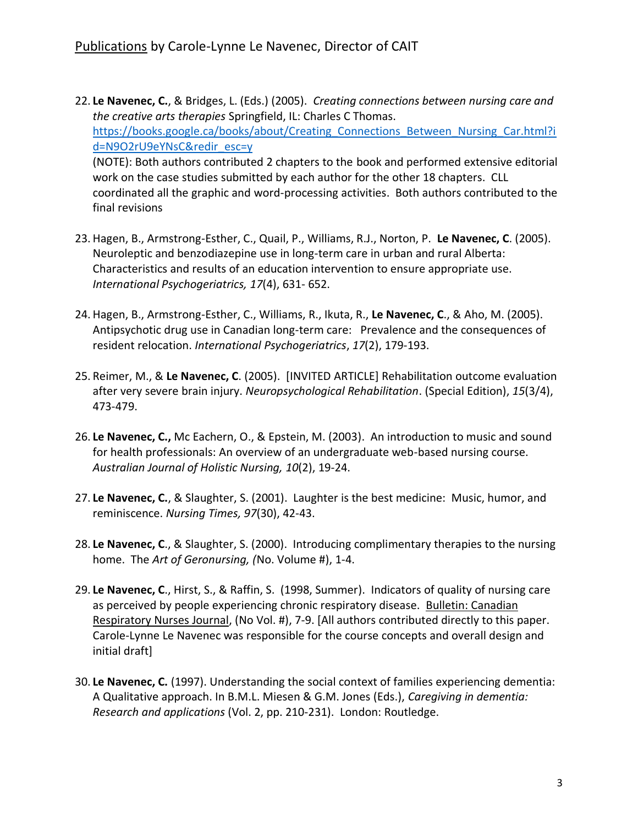- 22. **Le Navenec, C.**, & Bridges, L. (Eds.) (2005). *Creating connections between nursing care and the creative arts therapies* Springfield, IL: Charles C Thomas. https://books.google.ca/books/about/Creating Connections Between Nursing Car.html?i [d=N9O2rU9eYNsC&redir\\_esc=y](https://books.google.ca/books/about/Creating_Connections_Between_Nursing_Car.html?id=N9O2rU9eYNsC&redir_esc=y) (NOTE): Both authors contributed 2 chapters to the book and performed extensive editorial work on the case studies submitted by each author for the other 18 chapters. CLL coordinated all the graphic and word-processing activities. Both authors contributed to the final revisions
- 23. Hagen, B., Armstrong-Esther, C., Quail, P., Williams, R.J., Norton, P. **Le Navenec, C**. (2005). Neuroleptic and benzodiazepine use in long-term care in urban and rural Alberta: Characteristics and results of an education intervention to ensure appropriate use. *International Psychogeriatrics, 17*(4), 631- 652.
- 24. Hagen, B., Armstrong-Esther, C., Williams, R., Ikuta, R., **Le Navenec, C**., & Aho, M. (2005). Antipsychotic drug use in Canadian long-term care: Prevalence and the consequences of resident relocation. *International Psychogeriatrics*, *17*(2), 179-193.
- 25. Reimer, M., & **Le Navenec, C**. (2005). [INVITED ARTICLE] Rehabilitation outcome evaluation after very severe brain injury. *Neuropsychological Rehabilitation*. (Special Edition), *15*(3/4), 473-479.
- 26. **Le Navenec, C.,** Mc Eachern, O., & Epstein, M. (2003). An introduction to music and sound for health professionals: An overview of an undergraduate web-based nursing course. *Australian Journal of Holistic Nursing, 10*(2), 19-24.
- 27. **Le Navenec, C.**, & Slaughter, S. (2001). Laughter is the best medicine: Music, humor, and reminiscence. *Nursing Times, 97*(30), 42-43.
- 28. **Le Navenec, C**., & Slaughter, S. (2000). Introducing complimentary therapies to the nursing home. The *Art of Geronursing, (*No. Volume #), 1-4.
- 29. **Le Navenec, C**., Hirst, S., & Raffin, S. (1998, Summer). Indicators of quality of nursing care as perceived by people experiencing chronic respiratory disease. Bulletin: Canadian Respiratory Nurses Journal, (No Vol. #), 7-9. [All authors contributed directly to this paper. Carole-Lynne Le Navenec was responsible for the course concepts and overall design and initial draft]
- 30. **Le Navenec, C.** (1997). Understanding the social context of families experiencing dementia: A Qualitative approach. In B.M.L. Miesen & G.M. Jones (Eds.), *Caregiving in dementia: Research and applications* (Vol. 2, pp. 210-231). London: Routledge.